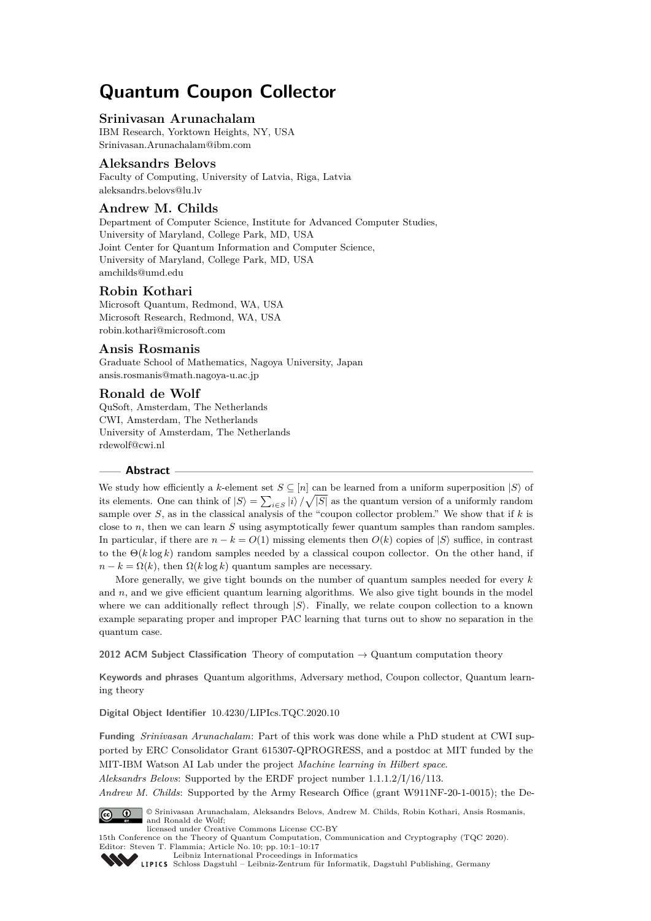# **Quantum Coupon Collector**

#### **Srinivasan Arunachalam**

IBM Research, Yorktown Heights, NY, USA [Srinivasan.Arunachalam@ibm.com](mailto:Srinivasan.Arunachalam@ibm.com)

## **Aleksandrs Belovs**

Faculty of Computing, University of Latvia, Riga, Latvia [aleksandrs.belovs@lu.lv](mailto:aleksandrs.belovs@lu.lv)

# **Andrew M. Childs**

Department of Computer Science, Institute for Advanced Computer Studies, University of Maryland, College Park, MD, USA Joint Center for Quantum Information and Computer Science, University of Maryland, College Park, MD, USA [amchilds@umd.edu](mailto:amchilds@umd.edu)

## **Robin Kothari**

Microsoft Quantum, Redmond, WA, USA Microsoft Research, Redmond, WA, USA [robin.kothari@microsoft.com](mailto:robin.kothari@microsoft.com)

## **Ansis Rosmanis**

Graduate School of Mathematics, Nagoya University, Japan [ansis.rosmanis@math.nagoya-u.ac.jp](mailto:ansis.rosmanis@math.nagoya-u.ac.jp)

## **Ronald de Wolf**

QuSoft, Amsterdam, The Netherlands CWI, Amsterdam, The Netherlands University of Amsterdam, The Netherlands [rdewolf@cwi.nl](mailto:rdewolf@cwi.nl)

#### **Abstract**

We study how efficiently a *k*-element set  $S \subseteq [n]$  can be learned from a uniform superposition  $|S\rangle$  of its elements. One can think of  $|S\rangle = \sum_{i \in S} |i\rangle / \sqrt{|S|}$  as the quantum version of a uniformly random sample over *S*, as in the classical analysis of the "coupon collector problem." We show that if *k* is close to *n*, then we can learn *S* using asymptotically fewer quantum samples than random samples. In particular, if there are  $n - k = O(1)$  missing elements then  $O(k)$  copies of  $|S\rangle$  suffice, in contrast to the  $\Theta(k \log k)$  random samples needed by a classical coupon collector. On the other hand, if  $n - k = \Omega(k)$ , then  $\Omega(k \log k)$  quantum samples are necessary.

More generally, we give tight bounds on the number of quantum samples needed for every *k* and  $n$ , and we give efficient quantum learning algorithms. We also give tight bounds in the model where we can additionally reflect through  $|S\rangle$ . Finally, we relate coupon collection to a known example separating proper and improper PAC learning that turns out to show no separation in the quantum case.

**2012 ACM Subject Classification** Theory of computation → Quantum computation theory

**Keywords and phrases** Quantum algorithms, Adversary method, Coupon collector, Quantum learning theory

**Digital Object Identifier** [10.4230/LIPIcs.TQC.2020.10](https://doi.org/10.4230/LIPIcs.TQC.2020.10)

**Funding** *Srinivasan Arunachalam*: Part of this work was done while a PhD student at CWI supported by ERC Consolidator Grant 615307-QPROGRESS, and a postdoc at MIT funded by the MIT-IBM Watson AI Lab under the project *Machine learning in Hilbert space*.

*Aleksandrs Belovs*: Supported by the ERDF project number 1.1.1.2/I/16/113.

*Andrew M. Childs*: Supported by the Army Research Office (grant W911NF-20-1-0015); the De-



© Srinivasan Arunachalam, Aleksandrs Belovs, Andrew M. Childs, Robin Kothari, Ansis Rosmanis, and Ronald de Wolf;

licensed under Creative Commons License CC-BY

15th Conference on the Theory of Quantum Computation, Communication and Cryptography (TQC 2020). Editor: Steven T. Flammia; Article No. 10; pp. 10:1–10[:17](#page-16-0)



[Leibniz International Proceedings in Informatics](https://www.dagstuhl.de/lipics/) [Schloss Dagstuhl – Leibniz-Zentrum für Informatik, Dagstuhl Publishing, Germany](https://www.dagstuhl.de)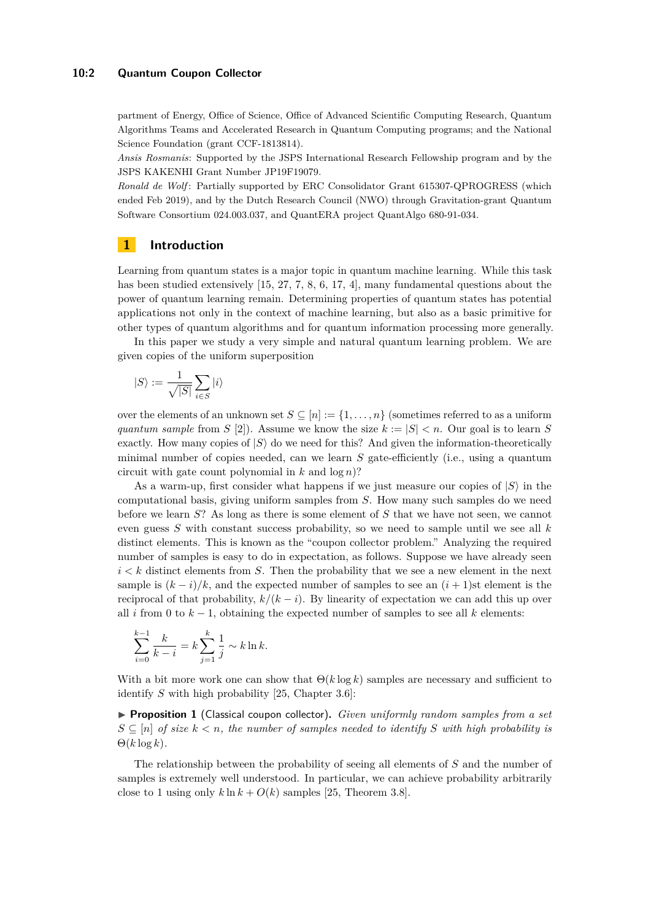#### **10:2 Quantum Coupon Collector**

partment of Energy, Office of Science, Office of Advanced Scientific Computing Research, Quantum Algorithms Teams and Accelerated Research in Quantum Computing programs; and the National Science Foundation (grant CCF-1813814).

*Ansis Rosmanis*: Supported by the JSPS International Research Fellowship program and by the JSPS KAKENHI Grant Number JP19F19079.

*Ronald de Wolf* : Partially supported by ERC Consolidator Grant 615307-QPROGRESS (which ended Feb 2019), and by the Dutch Research Council (NWO) through Gravitation-grant Quantum Software Consortium 024.003.037, and QuantERA project QuantAlgo 680-91-034.

## **1 Introduction**

Learning from quantum states is a major topic in quantum machine learning. While this task has been studied extensively [\[15,](#page-15-0) [27,](#page-16-1) [7,](#page-15-1) [8,](#page-15-2) [6,](#page-15-3) [17,](#page-15-4) [4\]](#page-15-5), many fundamental questions about the power of quantum learning remain. Determining properties of quantum states has potential applications not only in the context of machine learning, but also as a basic primitive for other types of quantum algorithms and for quantum information processing more generally.

In this paper we study a very simple and natural quantum learning problem. We are given copies of the uniform superposition

$$
|S\rangle:=\frac{1}{\sqrt{|S|}}\sum_{i\in S}|i\rangle
$$

over the elements of an unknown set  $S \subseteq [n] := \{1, \ldots, n\}$  (sometimes referred to as a uniform *quantum sample* from *S* [\[2\]](#page-15-6)). Assume we know the size  $k := |S| < n$ . Our goal is to learn *S* exactly. How many copies of  $|S\rangle$  do we need for this? And given the information-theoretically minimal number of copies needed, can we learn *S* gate-efficiently (i.e., using a quantum circuit with gate count polynomial in  $k$  and  $log n$ ?

As a warm-up, first consider what happens if we just measure our copies of  $|S\rangle$  in the computational basis, giving uniform samples from *S*. How many such samples do we need before we learn *S*? As long as there is some element of *S* that we have not seen, we cannot even guess *S* with constant success probability, so we need to sample until we see all *k* distinct elements. This is known as the "coupon collector problem." Analyzing the required number of samples is easy to do in expectation, as follows. Suppose we have already seen  $i < k$  distinct elements from *S*. Then the probability that we see a new element in the next sample is  $(k - i)/k$ , and the expected number of samples to see an  $(i + 1)$ st element is the reciprocal of that probability,  $k/(k - i)$ . By linearity of expectation we can add this up over all *i* from 0 to  $k - 1$ , obtaining the expected number of samples to see all  $k$  elements:

$$
\sum_{i=0}^{k-1} \frac{k}{k-i} = k \sum_{j=1}^{k} \frac{1}{j} \sim k \ln k.
$$

With a bit more work one can show that  $\Theta(k \log k)$  samples are necessary and sufficient to identify *S* with high probability [\[25,](#page-16-2) Chapter 3.6]:

<span id="page-1-0"></span>▶ **Proposition 1** (Classical coupon collector). *Given uniformly random samples from a set*  $S \subseteq [n]$  *of size*  $k < n$ , the number of samples needed to identify S with high probability is  $\Theta(k \log k)$ .

The relationship between the probability of seeing all elements of *S* and the number of samples is extremely well understood. In particular, we can achieve probability arbitrarily close to 1 using only  $k \ln k + O(k)$  samples [\[25,](#page-16-2) Theorem 3.8].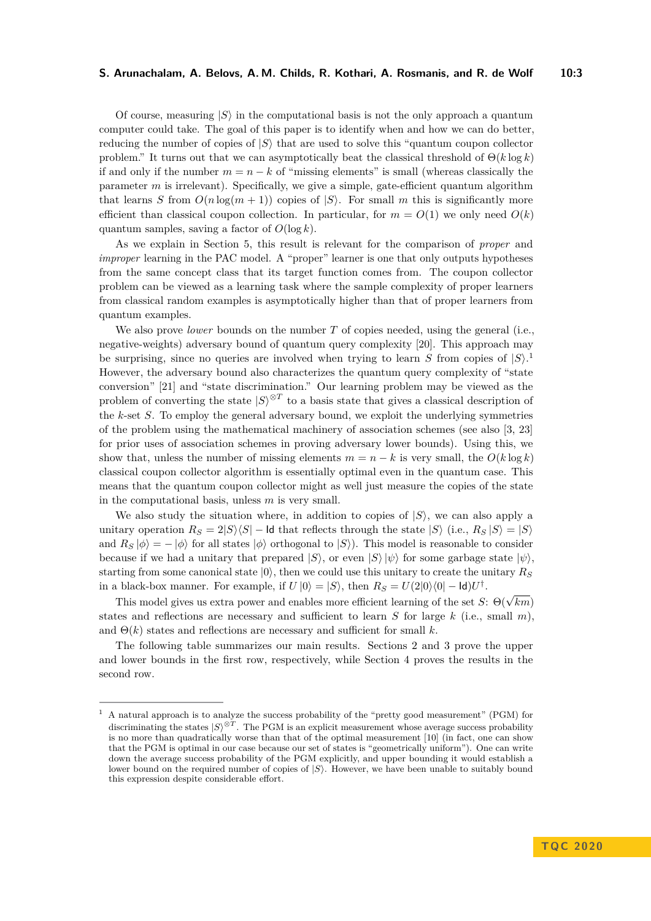Of course, measuring  $|S\rangle$  in the computational basis is not the only approach a quantum computer could take. The goal of this paper is to identify when and how we can do better, reducing the number of copies of  $|S\rangle$  that are used to solve this "quantum coupon collector" problem." It turns out that we can asymptotically beat the classical threshold of  $\Theta(k \log k)$ if and only if the number  $m = n - k$  of "missing elements" is small (whereas classically the parameter *m* is irrelevant). Specifically, we give a simple, gate-efficient quantum algorithm that learns *S* from  $O(n \log(m + 1))$  copies of  $|S\rangle$ . For small *m* this is significantly more efficient than classical coupon collection. In particular, for  $m = O(1)$  we only need  $O(k)$ quantum samples, saving a factor of  $O(\log k)$ .

As we explain in Section [5,](#page-13-0) this result is relevant for the comparison of *proper* and *improper* learning in the PAC model. A "proper" learner is one that only outputs hypotheses from the same concept class that its target function comes from. The coupon collector problem can be viewed as a learning task where the sample complexity of proper learners from classical random examples is asymptotically higher than that of proper learners from quantum examples.

We also prove *lower* bounds on the number *T* of copies needed, using the general (i.e., negative-weights) adversary bound of quantum query complexity [\[20\]](#page-16-3). This approach may be surprising, since no queries are involved when trying to learn  $S$  from copies of  $|S\rangle$ .<sup>[1](#page-2-0)</sup> However, the adversary bound also characterizes the quantum query complexity of "state conversion" [\[21\]](#page-16-4) and "state discrimination." Our learning problem may be viewed as the problem of converting the state  $|S\rangle^{\otimes T}$  to a basis state that gives a classical description of the *k*-set *S*. To employ the general adversary bound, we exploit the underlying symmetries of the problem using the mathematical machinery of association schemes (see also [\[3,](#page-15-7) [23\]](#page-16-5) for prior uses of association schemes in proving adversary lower bounds). Using this, we show that, unless the number of missing elements  $m = n - k$  is very small, the  $O(k \log k)$ classical coupon collector algorithm is essentially optimal even in the quantum case. This means that the quantum coupon collector might as well just measure the copies of the state in the computational basis, unless *m* is very small.

We also study the situation where, in addition to copies of  $|S\rangle$ , we can also apply a unitary operation  $R_S = 2|S\rangle\langle S|$  − Id that reflects through the state  $|S\rangle$  (i.e.,  $R_S|S\rangle = |S\rangle$ and  $R_S |\phi\rangle = - |\phi\rangle$  for all states  $|\phi\rangle$  orthogonal to  $|S\rangle$ ). This model is reasonable to consider because if we had a unitary that prepared  $|S\rangle$ , or even  $|S\rangle |\psi\rangle$  for some garbage state  $|\psi\rangle$ . starting from some canonical state  $|0\rangle$ , then we could use this unitary to create the unitary  $R<sub>S</sub>$ in a black-box manner. For example, if  $U |0\rangle = |S\rangle$ , then  $R_S = U(2|0\rangle\langle0| - \mathsf{Id})U^{\dagger}$ .

This model gives us extra power and enables more efficient learning of the set *S*:  $\Theta(\sqrt{km})$ states and reflections are necessary and sufficient to learn *S* for large *k* (i.e., small *m*), and  $\Theta(k)$  states and reflections are necessary and sufficient for small k.

The following table summarizes our main results. Sections [2](#page-3-0) and [3](#page-4-0) prove the upper and lower bounds in the first row, respectively, while Section [4](#page-11-0) proves the results in the second row.

<span id="page-2-0"></span><sup>1</sup> A natural approach is to analyze the success probability of the "pretty good measurement" (PGM) for discriminating the states  $|S\rangle^{\otimes T}$ . The PGM is an explicit measurement whose average success probability is no more than quadratically worse than that of the optimal measurement [\[10\]](#page-15-8) (in fact, one can show that the PGM is optimal in our case because our set of states is "geometrically uniform"). One can write down the average success probability of the PGM explicitly, and upper bounding it would establish a lower bound on the required number of copies of  $|S\rangle$ . However, we have been unable to suitably bound this expression despite considerable effort.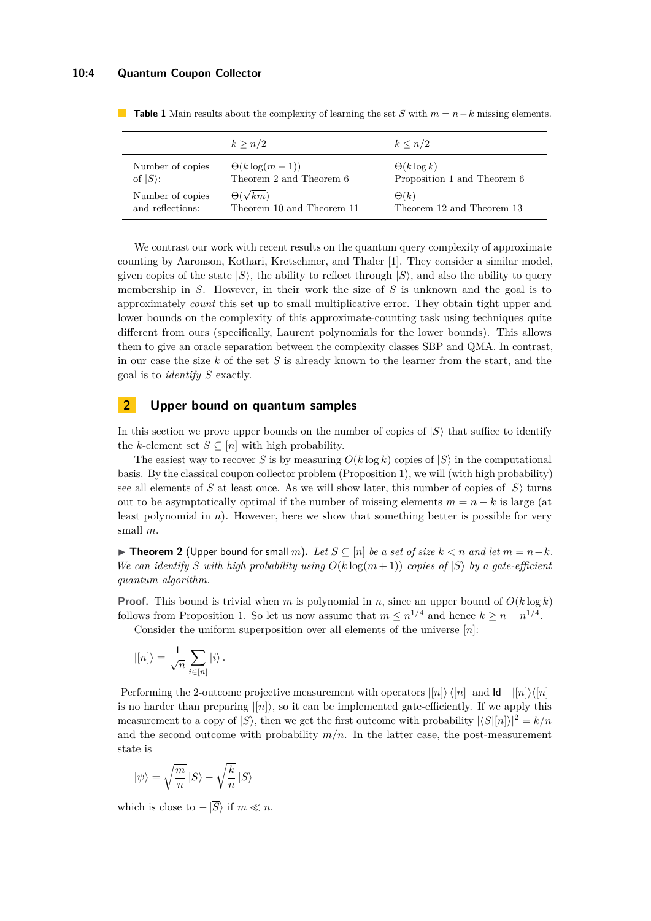|                  | k > n/2                   | $k \leq n/2$                |
|------------------|---------------------------|-----------------------------|
| Number of copies | $\Theta(k \log(m+1))$     | $\Theta(k \log k)$          |
| of $ S\rangle$ : | Theorem 2 and Theorem 6   | Proposition 1 and Theorem 6 |
| Number of copies | $\Theta(\sqrt{km})$       | $\Theta(k)$                 |
| and reflections: | Theorem 10 and Theorem 11 | Theorem 12 and Theorem 13   |

<span id="page-3-2"></span>**Table 1** Main results about the complexity of learning the set *S* with  $m = n - k$  missing elements.

We contrast our work with recent results on the quantum query complexity of approximate counting by Aaronson, Kothari, Kretschmer, and Thaler [\[1\]](#page-15-9). They consider a similar model, given copies of the state  $|S\rangle$ , the ability to reflect through  $|S\rangle$ , and also the ability to query membership in *S*. However, in their work the size of *S* is unknown and the goal is to approximately *count* this set up to small multiplicative error. They obtain tight upper and lower bounds on the complexity of this approximate-counting task using techniques quite different from ours (specifically, Laurent polynomials for the lower bounds). This allows them to give an oracle separation between the complexity classes SBP and QMA. In contrast, in our case the size *k* of the set *S* is already known to the learner from the start, and the goal is to *identify S* exactly.

# <span id="page-3-0"></span>**2 Upper bound on quantum samples**

In this section we prove upper bounds on the number of copies of  $|S\rangle$  that suffice to identify the *k*-element set  $S \subseteq [n]$  with high probability.

The easiest way to recover *S* is by measuring  $O(k \log k)$  copies of  $|S\rangle$  in the computational basis. By the classical coupon collector problem (Proposition [1\)](#page-1-0), we will (with high probability) see all elements of *S* at least once. As we will show later, this number of copies of  $|S\rangle$  turns out to be asymptotically optimal if the number of missing elements  $m = n - k$  is large (at least polynomial in  $n$ ). However, here we show that something better is possible for very small *m*.

<span id="page-3-1"></span>▶ **Theorem 2** (Upper bound for small *m*). Let  $S \subseteq [n]$  be a set of size  $k < n$  and let  $m = n - k$ . *We can identify S* with high probability using  $O(k \log(m+1))$  copies of  $|S\rangle$  by a gate-efficient *quantum algorithm.*

**Proof.** This bound is trivial when *m* is polynomial in *n*, since an upper bound of  $O(k \log k)$ follows from Proposition [1.](#page-1-0) So let us now assume that  $m \leq n^{1/4}$  and hence  $k \geq n - n^{1/4}$ .

Consider the uniform superposition over all elements of the universe [*n*]:

$$
|[n]\rangle = \frac{1}{\sqrt{n}} \sum_{i \in [n]} |i\rangle.
$$

Performing the 2-outcome projective measurement with operators  $\vert n \vert \setminus \langle n \vert \vert$  and  $\vert \mathbf{d} - \vert n \vert \setminus \langle n \vert \vert$ is no harder than preparing  $||n\rangle$ , so it can be implemented gate-efficiently. If we apply this measurement to a copy of  $|S\rangle$ , then we get the first outcome with probability  $|\langle S|[n]\rangle|^2 = k/n$ and the second outcome with probability  $m/n$ . In the latter case, the post-measurement state is

$$
|\psi\rangle=\sqrt{\frac{m}{n}}\,|S\rangle-\sqrt{\frac{k}{n}}\,|\overline{S}\rangle
$$

which is close to  $-|\overline{S}\rangle$  if  $m \ll n$ .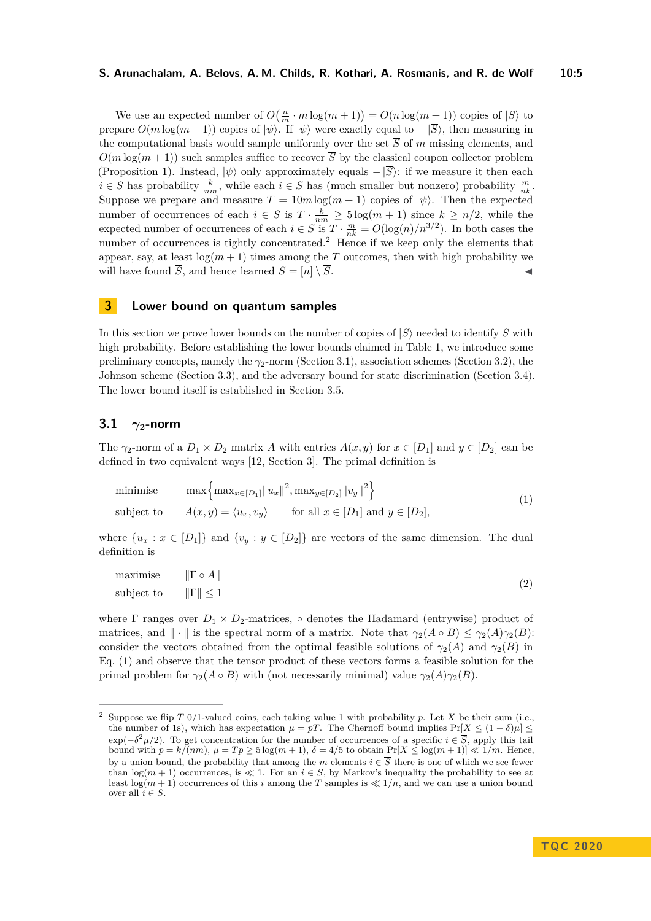#### **S. Arunachalam, A. Belovs, A. M. Childs, R. Kothari, A. Rosmanis, and R. de Wolf 10:5**

We use an expected number of  $O(\frac{n}{m} \cdot m \log(m+1)) = O(n \log(m+1))$  copies of  $|S\rangle$  to prepare  $O(m \log(m + 1))$  copies of  $|\psi\rangle$ . If  $|\psi\rangle$  were exactly equal to  $-\overline{S}\rangle$ , then measuring in the computational basis would sample uniformly over the set  $\overline{S}$  of *m* missing elements, and  $O(m \log(m+1))$  such samples suffice to recover  $\overline{S}$  by the classical coupon collector problem (Proposition [1\)](#page-1-0). Instead,  $|\psi\rangle$  only approximately equals  $-\ket{\overline{S}}$ : if we measure it then each  $i \in \overline{S}$  has probability  $\frac{k}{nm}$ , while each  $i \in S$  has (much smaller but nonzero) probability  $\frac{m}{nk}$ . Suppose we prepare and measure  $T = 10m \log(m + 1)$  copies of  $|\psi\rangle$ . Then the expected number of occurrences of each  $i \in \overline{S}$  is  $T \cdot \frac{k}{nm} \geq 5 \log(m+1)$  since  $k \geq n/2$ , while the expected number of occurrences of each  $i \in S$  is  $T \cdot \frac{m}{nk} = O(\log(n)/n^{3/2})$ . In both cases the number of occurrences is tightly concentrated.<sup>[2](#page-4-1)</sup> Hence if we keep only the elements that appear, say, at least  $log(m + 1)$  times among the *T* outcomes, then with high probability we will have found  $\overline{S}$ , and hence learned  $S = [n] \setminus \overline{S}$ .

## <span id="page-4-0"></span>**3 Lower bound on quantum samples**

In this section we prove lower bounds on the number of copies of  $|S\rangle$  needed to identify *S* with high probability. Before establishing the lower bounds claimed in Table [1,](#page-3-2) we introduce some preliminary concepts, namely the *γ*2-norm (Section [3.1\)](#page-4-2), association schemes (Section [3.2\)](#page-5-0), the Johnson scheme (Section [3.3\)](#page-5-1), and the adversary bound for state discrimination (Section [3.4\)](#page-6-0). The lower bound itself is established in Section [3.5.](#page-7-1)

#### <span id="page-4-2"></span>**3.1**  $\gamma_2$ **-norm**

The  $\gamma_2$ -norm of a  $D_1 \times D_2$  matrix *A* with entries  $A(x, y)$  for  $x \in [D_1]$  and  $y \in [D_2]$  can be defined in two equivalent ways [\[12,](#page-15-10) Section 3]. The primal definition is

<span id="page-4-3"></span>minimise 
$$
\max \left\{ \max_{x \in [D_1]} ||u_x||^2, \max_{y \in [D_2]} ||v_y||^2 \right\}
$$
  
subject to 
$$
A(x, y) = \langle u_x, v_y \rangle \quad \text{for all } x \in [D_1] \text{ and } y \in [D_2],
$$
 (1)

where  $\{u_x : x \in [D_1]\}$  and  $\{v_y : y \in [D_2]\}$  are vectors of the same dimension. The dual definition is

<span id="page-4-4"></span>

| maximise $\ \Gamma \circ A\ $  | $\left( 2\right)$ |
|--------------------------------|-------------------|
| subject to $  \Gamma   \leq 1$ |                   |

where  $\Gamma$  ranges over  $D_1 \times D_2$ -matrices,  $\circ$  denotes the Hadamard (entrywise) product of matrices, and  $\|\cdot\|$  is the spectral norm of a matrix. Note that  $\gamma_2(A \circ B) \leq \gamma_2(A)\gamma_2(B)$ : consider the vectors obtained from the optimal feasible solutions of  $\gamma_2(A)$  and  $\gamma_2(B)$  in Eq. [\(1\)](#page-4-3) and observe that the tensor product of these vectors forms a feasible solution for the primal problem for  $\gamma_2(A \circ B)$  with (not necessarily minimal) value  $\gamma_2(A)\gamma_2(B)$ .

<span id="page-4-1"></span><sup>2</sup> Suppose we flip *T* 0/1-valued coins, each taking value 1 with probability *p*. Let *X* be their sum (i.e., the number of 1s), which has expectation  $\mu = pT$ . The Chernoff bound implies  $Pr[X \leq (1 - \delta)\mu] \leq$  $\exp(-\delta^2 \mu/2)$ . To get concentration for the number of occurrences of a specific  $i \in \overline{S}$ , apply this tail bound with  $p = k/(nm)$ ,  $\mu = Tp \ge 5 \log(m+1)$ ,  $\delta = 4/5$  to obtain  $Pr[X \le \log(m+1)] \ll 1/m$ . Hence, by a union bound, the probability that among the *m* elements  $i \in \overline{S}$  there is one of which we see fewer than  $\log(m+1)$  occurrences, is  $\ll 1$ . For an  $i \in S$ , by Markov's inequality the probability to see at least  $\log(m+1)$  occurrences of this *i* among the *T* samples is  $\ll 1/n$ , and we can use a union bound over all  $i \in S$ .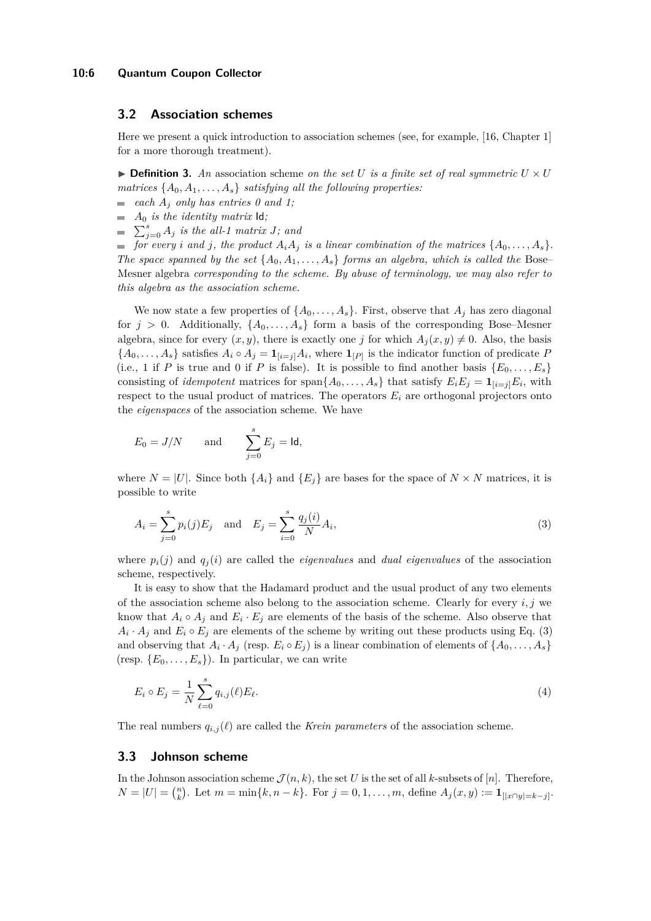#### <span id="page-5-0"></span>**3.2 Association schemes**

Here we present a quick introduction to association schemes (see, for example, [\[16,](#page-15-11) Chapter 1] for a more thorough treatment).

 $\triangleright$  **Definition 3.** An association scheme *on the set U is a finite set of real symmetric*  $U \times U$ *matrices*  $\{A_0, A_1, \ldots, A_s\}$  *satisfying all the following properties:* 

- **each**  $A_j$  *only has entries* 0 *and* 1;
- $\blacksquare$  *A*<sup>0</sup> *is the identity matrix* **ld***;*
- $\sum_{j=0}^{s} A_j$  *is the all-1 matrix J; and*

for every *i* and *j*, the product  $A_iA_j$  is a linear combination of the matrices  $\{A_0, \ldots, A_s\}$ . *The space spanned by the set*  $\{A_0, A_1, \ldots, A_s\}$  *forms an algebra, which is called the* Bose– Mesner algebra *corresponding to the scheme. By abuse of terminology, we may also refer to this algebra as the association scheme.*

We now state a few properties of  $\{A_0, \ldots, A_s\}$ . First, observe that  $A_j$  has zero diagonal for  $j > 0$ . Additionally,  $\{A_0, \ldots, A_s\}$  form a basis of the corresponding Bose–Mesner algebra, since for every  $(x, y)$ , there is exactly one *j* for which  $A_i(x, y) \neq 0$ . Also, the basis  ${A_0, \ldots, A_s}$  satisfies  $A_i \circ A_j = \mathbf{1}_{[i=j]} A_i$ , where  $\mathbf{1}_{[P]}$  is the indicator function of predicate *P* (i.e., 1 if *P* is true and 0 if *P* is false). It is possible to find another basis  ${E_0, \ldots, E_s}$ consisting of *idempotent* matrices for span $\{A_0, \ldots, A_s\}$  that satisfy  $E_i E_j = \mathbf{1}_{[i=j]} E_i$ , with respect to the usual product of matrices. The operators  $E_i$  are orthogonal projectors onto the *eigenspaces* of the association scheme. We have

$$
E_0 = J/N \quad \text{and} \quad \sum_{j=0}^s E_j = \text{Id},
$$

where  $N = |U|$ . Since both  $\{A_i\}$  and  $\{E_i\}$  are bases for the space of  $N \times N$  matrices, it is possible to write

<span id="page-5-2"></span>
$$
A_i = \sum_{j=0}^{s} p_i(j) E_j \text{ and } E_j = \sum_{i=0}^{s} \frac{q_j(i)}{N} A_i,
$$
 (3)

where  $p_i(j)$  and  $q_i(i)$  are called the *eigenvalues* and *dual eigenvalues* of the association scheme, respectively.

It is easy to show that the Hadamard product and the usual product of any two elements of the association scheme also belong to the association scheme. Clearly for every *i, j* we know that  $A_i \circ A_j$  and  $E_i \cdot E_j$  are elements of the basis of the scheme. Also observe that  $A_i \cdot A_j$  and  $E_i \circ E_j$  are elements of the scheme by writing out these products using Eq. [\(3\)](#page-5-2) and observing that  $A_i \cdot A_j$  (resp.  $E_i \circ E_j$ ) is a linear combination of elements of  $\{A_0, \ldots, A_s\}$ (resp.  ${E_0, \ldots, E_s}$ ). In particular, we can write

$$
E_i \circ E_j = \frac{1}{N} \sum_{\ell=0}^{s} q_{i,j}(\ell) E_{\ell}.
$$
 (4)

The real numbers  $q_{i,j}(\ell)$  are called the *Krein parameters* of the association scheme.

#### <span id="page-5-1"></span>**3.3 Johnson scheme**

In the Johnson association scheme  $\mathcal{J}(n, k)$ , the set *U* is the set of all *k*-subsets of [*n*]. Therefore,  $N = |U| = {n \choose k}$ . Let  $m = \min\{k, n - k\}$ . For  $j = 0, 1, ..., m$ , define  $A_j(x, y) := \mathbf{1}_{[|x \cap y| = k - j]}$ .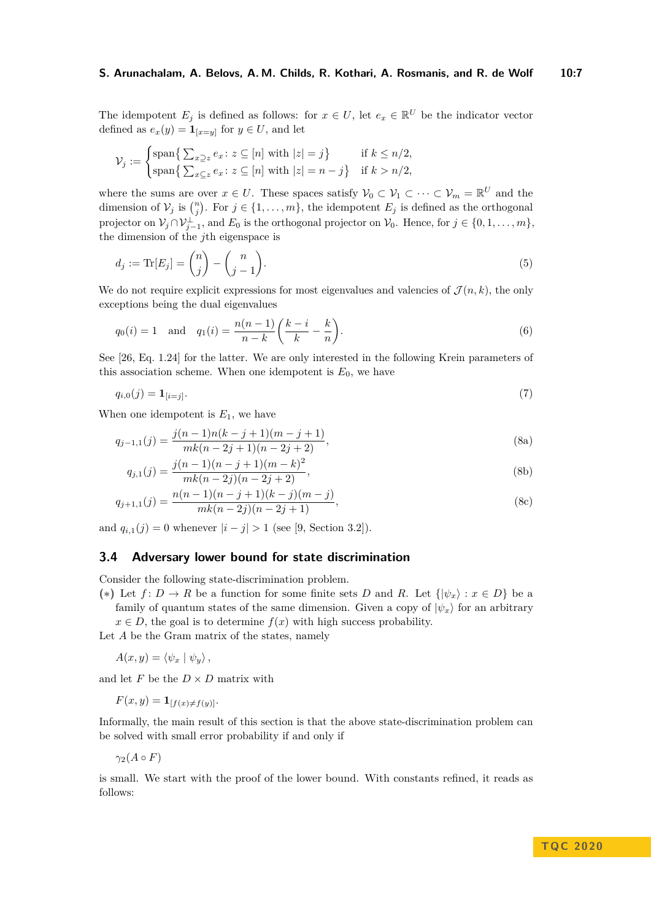The idempotent  $E_j$  is defined as follows: for  $x \in U$ , let  $e_x \in \mathbb{R}^U$  be the indicator vector defined as  $e_x(y) = \mathbf{1}_{[x=y]}$  for  $y \in U$ , and let

$$
\mathcal{V}_j := \begin{cases} \text{span}\left\{ \sum_{x \supseteq z} e_x : z \subseteq [n] \text{ with } |z| = j \right\} & \text{if } k \leq n/2, \\ \text{span}\left\{ \sum_{x \subseteq z} e_x : z \subseteq [n] \text{ with } |z| = n - j \right\} & \text{if } k > n/2, \end{cases}
$$

where the sums are over  $x \in U$ . These spaces satisfy  $\mathcal{V}_0 \subset \mathcal{V}_1 \subset \cdots \subset \mathcal{V}_m = \mathbb{R}^U$  and the dimension of  $V_j$  is  $\binom{n}{j}$ . For  $j \in \{1, ..., m\}$ , the idempotent  $E_j$  is defined as the orthogonal projector on  $\mathcal{V}_j \cap \mathcal{V}_{j-1}^{\perp}$ , and  $E_0$  is the orthogonal projector on  $\mathcal{V}_0$ . Hence, for  $j \in \{0, 1, \ldots, m\}$ , the dimension of the *j*th eigenspace is

<span id="page-6-2"></span>
$$
d_j := \text{Tr}[E_j] = \binom{n}{j} - \binom{n}{j-1}.
$$
\n<sup>(5)</sup>

We do not require explicit expressions for most eigenvalues and valencies of  $\mathcal{J}(n,k)$ , the only exceptions being the dual eigenvalues

<span id="page-6-3"></span>
$$
q_0(i) = 1
$$
 and  $q_1(i) = \frac{n(n-1)}{n-k} \left( \frac{k-i}{k} - \frac{k}{n} \right)$ . (6)

See [\[26,](#page-16-6) Eq. 1.24] for the latter. We are only interested in the following Krein parameters of this association scheme. When one idempotent is  $E_0$ , we have

$$
q_{i,0}(j) = \mathbf{1}_{[i=j]}.\tag{7}
$$

When one idempotent is  $E_1$ , we have

<span id="page-6-4"></span>
$$
q_{j-1,1}(j) = \frac{j(n-1)n(k-j+1)(m-j+1)}{mk(n-2j+1)(n-2j+2)},
$$
\n(8a)

$$
q_{j,1}(j) = \frac{j(n-1)(n-j+1)(m-k)^2}{mk(n-2j)(n-2j+2)},
$$
\n(8b)

$$
q_{j+1,1}(j) = \frac{n(n-1)(n-j+1)(k-j)(m-j)}{mk(n-2j)(n-2j+1)},
$$
\n(8c)

and  $q_{i,1}(j) = 0$  whenever  $|i - j| > 1$  (see [\[9,](#page-15-12) Section 3.2]).

#### <span id="page-6-0"></span>**3.4 Adversary lower bound for state discrimination**

Consider the following state-discrimination problem.

(**\***) Let  $f: D \to R$  be a function for some finite sets *D* and *R*. Let  $\{|\psi_x\rangle : x \in D\}$  be a family of quantum states of the same dimension. Given a copy of  $|\psi_x\rangle$  for an arbitrary

 $x \in D$ , the goal is to determine  $f(x)$  with high success probability.

Let *A* be the Gram matrix of the states, namely

$$
A(x,y) = \langle \psi_x | \psi_y \rangle,
$$

and let *F* be the  $D \times D$  matrix with

 $F(x, y) = \mathbf{1}_{[f(x) \neq f(y)]}$ .

Informally, the main result of this section is that the above state-discrimination problem can be solved with small error probability if and only if

 $γ<sub>2</sub>(A ∘ F)$ 

<span id="page-6-1"></span>is small. We start with the proof of the lower bound. With constants refined, it reads as follows: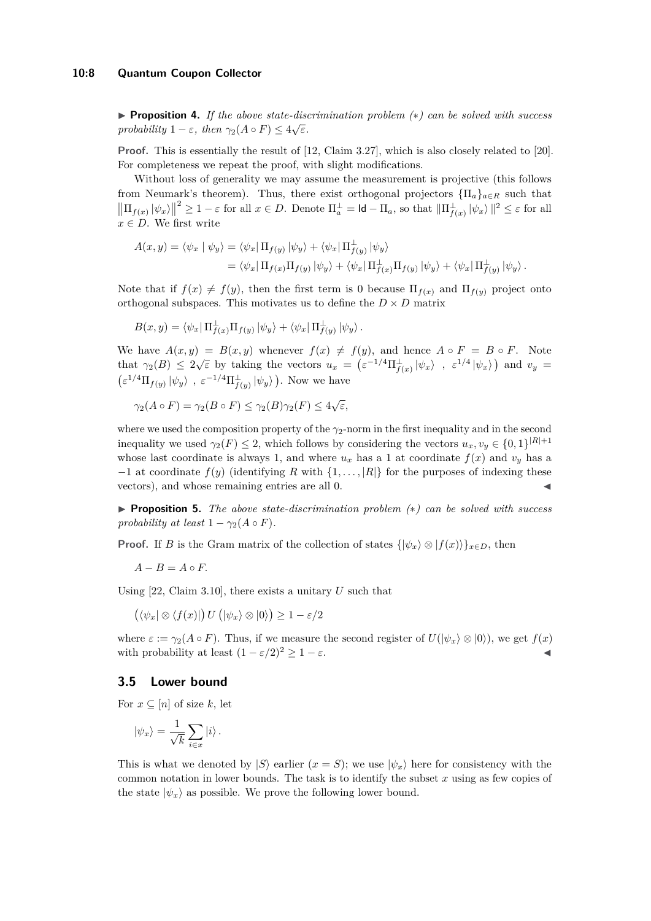#### **10:8 Quantum Coupon Collector**

I **Proposition 4.** *If the above state-discrimination problem (*∗*) can be solved with success probability*  $1 - \varepsilon$ *, then*  $\gamma_2(A \circ F) \leq 4\sqrt{\varepsilon}$ *.* 

**Proof.** This is essentially the result of [\[12,](#page-15-10) Claim 3.27], which is also closely related to [\[20\]](#page-16-3). For completeness we repeat the proof, with slight modifications.

Without loss of generality we may assume the measurement is projective (this follows from Neumark's theorem). Thus, there exist orthogonal projectors  ${\Pi_a}_{a \in R}$  such that  $\left\| \Pi_{f(x)} \left| \psi_x \right\rangle \right\|$  $2 \geq 1 - \varepsilon$  for all  $x \in D$ . Denote  $\Pi_a^{\perp} = \mathsf{Id} - \Pi_a$ , so that  $\|\Pi_{f(x)}^{\perp} | \psi_x \rangle \|^2 \leq \varepsilon$  for all  $x \in D$ . We first write

$$
A(x,y) = \langle \psi_x | \psi_y \rangle = \langle \psi_x | \Pi_{f(y)} | \psi_y \rangle + \langle \psi_x | \Pi_{f(y)}^{\perp} | \psi_y \rangle
$$
  
= 
$$
\langle \psi_x | \Pi_{f(x)} \Pi_{f(y)} | \psi_y \rangle + \langle \psi_x | \Pi_{f(x)}^{\perp} \Pi_{f(y)} | \psi_y \rangle + \langle \psi_x | \Pi_{f(y)}^{\perp} | \psi_y \rangle.
$$

Note that if  $f(x) \neq f(y)$ , then the first term is 0 because  $\Pi_{f(x)}$  and  $\Pi_{f(y)}$  project onto orthogonal subspaces. This motivates us to define the  $D \times D$  matrix

$$
B(x,y) = \langle \psi_x | \Pi_{f(x)}^{\perp} \Pi_{f(y)} | \psi_y \rangle + \langle \psi_x | \Pi_{f(y)}^{\perp} | \psi_y \rangle.
$$

We have  $A(x, y) = B(x, y)$  whenever  $f(x) \neq f(y)$ , and hence  $A \circ F = B \circ F$ . Note that  $\gamma_2(B) \leq 2\sqrt{\varepsilon}$  by taking the vectors  $u_x = (\varepsilon^{-1/4}\Pi_{f(x)}^{\perp}|\psi_x\rangle, \varepsilon^{1/4}|\psi_x\rangle)$  and  $v_y =$  $\left(\varepsilon^{1/4} \Pi_{f(y)} |\psi_y\rangle\right), \ \varepsilon^{-1/4} \Pi_{f(y)}^{\perp} |\psi_y\rangle\right).$  Now we have

$$
\gamma_2(A \circ F) = \gamma_2(B \circ F) \le \gamma_2(B)\gamma_2(F) \le 4\sqrt{\varepsilon},
$$

where we used the composition property of the *γ*2-norm in the first inequality and in the second inequality we used  $\gamma_2(F) \leq 2$ , which follows by considering the vectors  $u_x, v_y \in \{0, 1\}^{|R|+1}$ whose last coordinate is always 1, and where  $u_x$  has a 1 at coordinate  $f(x)$  and  $v_y$  has a −1 at coordinate *f*(*y*) (identifying *R* with {1*, . . . ,* |*R*|} for the purposes of indexing these vectors), and whose remaining entries are all 0.

I **Proposition 5.** *The above state-discrimination problem (*∗*) can be solved with success probability at least*  $1 - \gamma_2(A \circ F)$ *.* 

**Proof.** If *B* is the Gram matrix of the collection of states  $\{|\psi_x\rangle \otimes |f(x)\rangle\}_{x \in D}$ , then

$$
A - B = A \circ F.
$$

Using [\[22,](#page-16-7) Claim 3.10], there exists a unitary *U* such that

$$
(\langle \psi_x | \otimes \langle f(x) |) U(|\psi_x \rangle \otimes |0 \rangle) \ge 1 - \varepsilon/2
$$

where  $\varepsilon := \gamma_2(A \circ F)$ . Thus, if we measure the second register of  $U(|\psi_x\rangle \otimes |0\rangle)$ , we get  $f(x)$ with probability at least  $(1 - \varepsilon/2)^2 \geq 1 - \varepsilon$ .

#### <span id="page-7-1"></span>**3.5 Lower bound**

For  $x \subseteq [n]$  of size k, let

$$
|\psi_x\rangle = \frac{1}{\sqrt{k}} \sum_{i \in x} |i\rangle.
$$

<span id="page-7-0"></span>This is what we denoted by  $|S\rangle$  earlier  $(x = S)$ ; we use  $|\psi_x\rangle$  here for consistency with the common notation in lower bounds. The task is to identify the subset *x* using as few copies of the state  $|\psi_x\rangle$  as possible. We prove the following lower bound.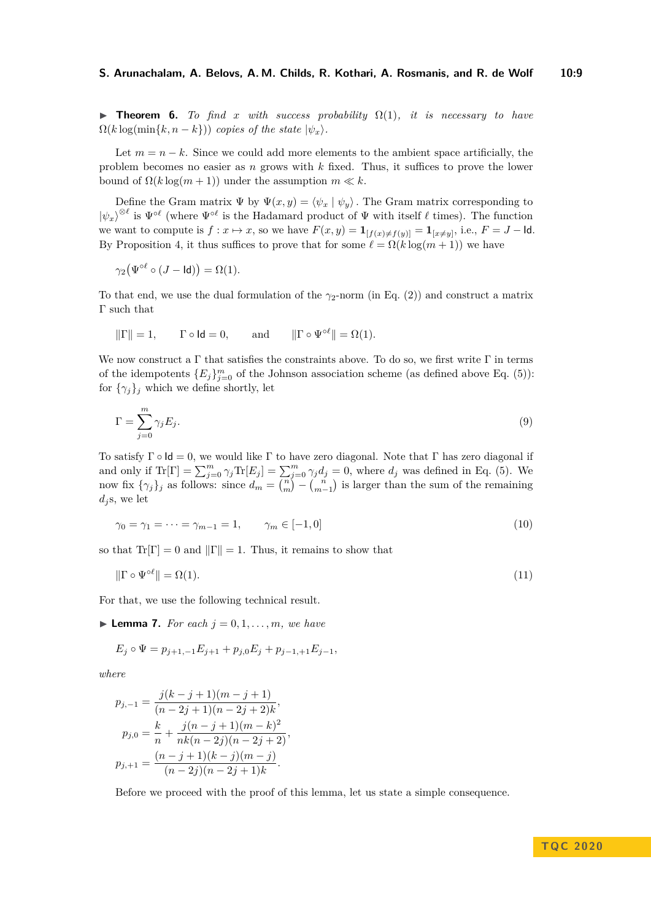**Findment 6.** To find x with success probability  $\Omega(1)$ , it is necessary to have  $\Omega(k \log(\min\{k, n - k\}))$  *copies of the state*  $|\psi_x\rangle$ *.* 

Let  $m = n - k$ . Since we could add more elements to the ambient space artificially, the problem becomes no easier as *n* grows with *k* fixed. Thus, it suffices to prove the lower bound of  $Ω(k \log(m + 1))$  under the assumption  $m \ll k$ .

Define the Gram matrix  $\Psi$  by  $\Psi(x, y) = \langle \psi_x | \psi_y \rangle$ . The Gram matrix corresponding to  $|\psi_x\rangle^{\otimes \ell}$  is  $\Psi^{\circ \ell}$  (where  $\Psi^{\circ \ell}$  is the Hadamard product of  $\Psi$  with itself  $\ell$  times). The function we want to compute is  $f: x \mapsto x$ , so we have  $F(x, y) = \mathbf{1}_{[f(x) \neq f(y)]} = \mathbf{1}_{[x \neq y]}$ , i.e.,  $F = J - \text{Id}$ . By Proposition [4,](#page-6-1) it thus suffices to prove that for some  $\ell = \Omega(k \log(m + 1))$  we have

$$
\gamma_2(\Psi^{\circ \ell} \circ (J - \mathsf{Id})) = \Omega(1).
$$

To that end, we use the dual formulation of the  $\gamma_2$ -norm (in Eq. [\(2\)](#page-4-4)) and construct a matrix Γ such that

$$
\|\Gamma\|=1,\qquad \Gamma\circ\mathsf{Id}=0,\qquad\text{and}\qquad \|\Gamma\circ\Psi^{\circ\ell}\|=\Omega(1).
$$

We now construct a  $\Gamma$  that satisfies the constraints above. To do so, we first write  $\Gamma$  in terms of the idempotents  ${E_j}_{j=0}^m$  of the Johnson association scheme (as defined above Eq. [\(5\)](#page-6-2)): for  $\{\gamma_j\}_j$  which we define shortly, let

$$
\Gamma = \sum_{j=0}^{m} \gamma_j E_j. \tag{9}
$$

To satisfy  $\Gamma \circ \mathsf{Id} = 0$ , we would like  $\Gamma$  to have zero diagonal. Note that  $\Gamma$  has zero diagonal if and only if  $\text{Tr}[\Gamma] = \sum_{j=0}^{m} \gamma_j \text{Tr}[E_j] = \sum_{j=0}^{m} \gamma_j d_j = 0$ , where  $d_j$  was defined in Eq. [\(5\)](#page-6-2). We now fix  $\{\gamma_j\}_j$  as follows: since  $d_m = \binom{n}{m} - \binom{n}{m-1}$  is larger than the sum of the remaining  $d_i$ s, we let

<span id="page-8-2"></span><span id="page-8-1"></span>
$$
\gamma_0 = \gamma_1 = \dots = \gamma_{m-1} = 1, \qquad \gamma_m \in [-1, 0]
$$
\n(10)

so that  $Tr[\Gamma] = 0$  and  $\|\Gamma\| = 1$ . Thus, it remains to show that

$$
\|\Gamma \circ \Psi^{\circ \ell}\| = \Omega(1). \tag{11}
$$

<span id="page-8-0"></span>For that, we use the following technical result.

 $\blacktriangleright$  **Lemma 7.** *For each*  $j = 0, 1, \ldots, m$ *, we have* 

$$
E_j \circ \Psi = p_{j+1,-1} E_{j+1} + p_{j,0} E_j + p_{j-1,+1} E_{j-1},
$$

*where*

$$
p_{j,-1} = \frac{j(k-j+1)(m-j+1)}{(n-2j+1)(n-2j+2)k},
$$
  
\n
$$
p_{j,0} = \frac{k}{n} + \frac{j(n-j+1)(m-k)^2}{nk(n-2j)(n-2j+2)},
$$
  
\n
$$
p_{j,+1} = \frac{(n-j+1)(k-j)(m-j)}{(n-2j)(n-2j+1)k}.
$$

Before we proceed with the proof of this lemma, let us state a simple consequence.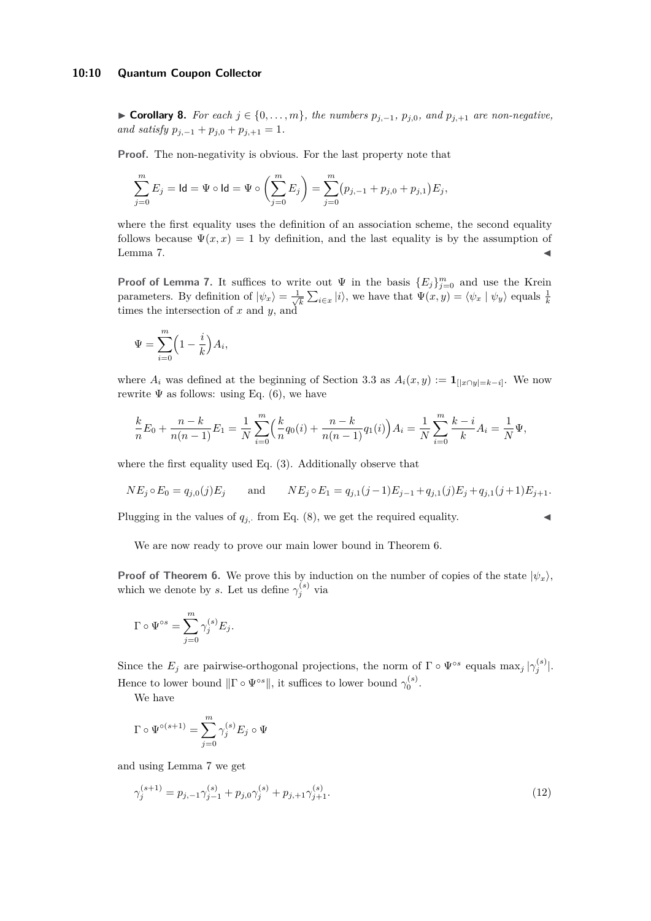#### **10:10 Quantum Coupon Collector**

■ **Corollary 8.** *For each*  $j \in \{0, \ldots, m\}$ *, the numbers*  $p_{j,-1}$ *,*  $p_{j,0}$ *, and*  $p_{j,+1}$  *are non-negative, and satisfy*  $p_{j,-1} + p_{j,0} + p_{j,+1} = 1$ .

**Proof.** The non-negativity is obvious. For the last property note that

$$
\sum_{j=0}^{m} E_j = \mathsf{Id} = \Psi \circ \mathsf{Id} = \Psi \circ \left( \sum_{j=0}^{m} E_j \right) = \sum_{j=0}^{m} (p_{j,-1} + p_{j,0} + p_{j,1}) E_j,
$$

where the first equality uses the definition of an association scheme, the second equality follows because  $\Psi(x, x) = 1$  by definition, and the last equality is by the assumption of Lemma [7.](#page-8-0)  $\blacksquare$ 

**Proof of Lemma [7.](#page-8-0)** It suffices to write out  $\Psi$  in the basis  ${E_j}_{j=0}^m$  and use the Krein parameters. By definition of  $|\psi_x\rangle = \frac{1}{\sqrt{2}}$ parameters. By definition of  $|\psi_x\rangle = \frac{1}{\sqrt{k}} \sum_{i \in x} |i\rangle$ , we have that  $\Psi(x, y) = \langle \psi_x | \psi_y \rangle$  equals  $\frac{1}{k}$  times the intersection of *x* and *y*, and

$$
\Psi = \sum_{i=0}^{m} \left(1 - \frac{i}{k}\right) A_i,
$$

where  $A_i$  was defined at the beginning of Section [3.3](#page-5-1) as  $A_i(x, y) := \mathbf{1}_{[|x \cap y| = k-i]}$ . We now rewrite  $\Psi$  as follows: using Eq. [\(6\)](#page-6-3), we have

$$
\frac{k}{n}E_0 + \frac{n-k}{n(n-1)}E_1 = \frac{1}{N}\sum_{i=0}^m \left(\frac{k}{n}q_0(i) + \frac{n-k}{n(n-1)}q_1(i)\right)A_i = \frac{1}{N}\sum_{i=0}^m \frac{k-i}{k}A_i = \frac{1}{N}\Psi,
$$

where the first equality used Eq. [\(3\)](#page-5-2). Additionally observe that

$$
NE_j \circ E_0 = q_{j,0}(j)E_j
$$
 and  $NE_j \circ E_1 = q_{j,1}(j-1)E_{j-1} + q_{j,1}(j)E_j + q_{j,1}(j+1)E_{j+1}.$ 

Plugging in the values of  $q_j$ , from Eq. [\(8\)](#page-6-4), we get the required equality.

We are now ready to prove our main lower bound in Theorem [6.](#page-7-0)

**Proof of Theorem [6.](#page-7-0)** We prove this by induction on the number of copies of the state  $|\psi_x\rangle$ , which we denote by *s*. Let us define  $\gamma_j^{(s)}$  via

$$
\Gamma \circ \Psi^{\circ s} = \sum_{j=0}^{m} \gamma_j^{(s)} E_j.
$$

Since the  $E_j$  are pairwise-orthogonal projections, the norm of  $\Gamma \circ \Psi^{\circ s}$  equals  $\max_j |\gamma_j^{(s)}|$ . Hence to lower bound  $\|\Gamma \circ \Psi^{\circ s}\|$ , it suffices to lower bound  $\gamma_0^{(s)}$ .

We have

$$
\Gamma\circ\Psi^{\circ (s+1)}=\sum_{j=0}^m \gamma_j^{(s)}E_j\circ\Psi
$$

and using Lemma [7](#page-8-0) we get

<span id="page-9-0"></span>
$$
\gamma_j^{(s+1)} = p_{j,-1}\gamma_{j-1}^{(s)} + p_{j,0}\gamma_j^{(s)} + p_{j,+1}\gamma_{j+1}^{(s)}.
$$
\n(12)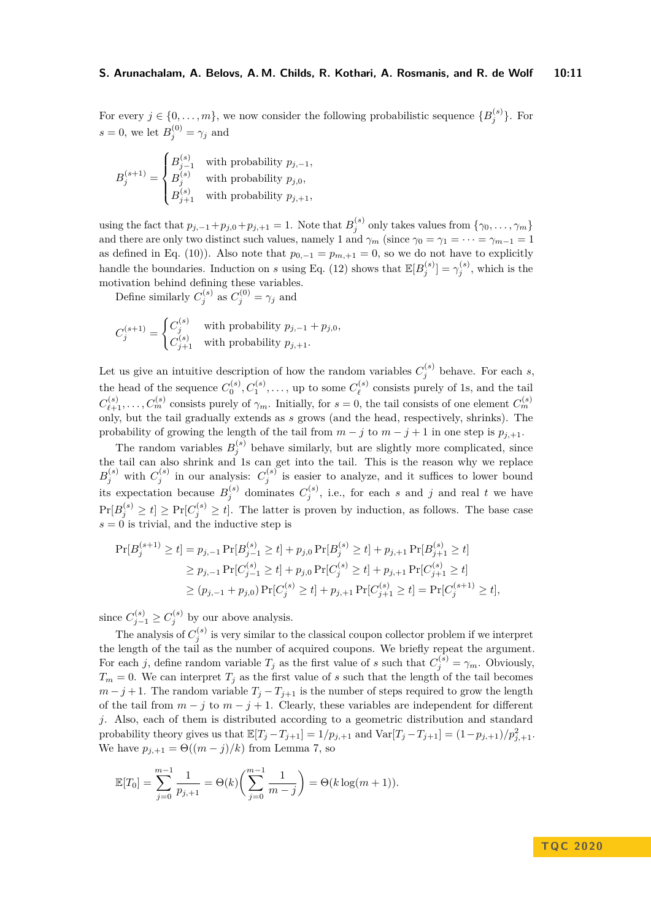For every  $j \in \{0, \ldots, m\}$ , we now consider the following probabilistic sequence  $\{B_j^{(s)}\}$ . For  $s = 0$ , we let  $B_j^{(0)} = \gamma_j$  and

$$
B_j^{(s+1)} = \begin{cases} B_{j-1}^{(s)} & \text{with probability } p_{j,-1}, \\ B_j^{(s)} & \text{with probability } p_{j,0}, \\ B_{j+1}^{(s)} & \text{with probability } p_{j,+1}, \end{cases}
$$

using the fact that  $p_{j,-1} + p_{j,0} + p_{j,+1} = 1$ . Note that  $B_j^{(s)}$  only takes values from  $\{\gamma_0, \ldots, \gamma_m\}$ and there are only two distinct such values, namely 1 and  $\gamma_m$  (since  $\gamma_0 = \gamma_1 = \cdots = \gamma_{m-1} = 1$ as defined in Eq. [\(10\)](#page-8-1)). Also note that  $p_{0,-1} = p_{m,+1} = 0$ , so we do not have to explicitly handle the boundaries. Induction on *s* using Eq. [\(12\)](#page-9-0) shows that  $\mathbb{E}[B_j^{(s)}] = \gamma_j^{(s)}$ , which is the motivation behind defining these variables.

Define similarly  $C_j^{(s)}$  as  $C_j^{(0)} = \gamma_j$  and

$$
C_j^{(s+1)} = \begin{cases} C_j^{(s)} & \text{with probability } p_{j,-1} + p_{j,0}, \\ C_{j+1}^{(s)} & \text{with probability } p_{j,+1}. \end{cases}
$$

Let us give an intuitive description of how the random variables  $C_j^{(s)}$  behave. For each *s*, the head of the sequence  $C_0^{(s)}$ ,  $C_1^{(s)}$ , ..., up to some  $C_{\ell}^{(s)}$  $\ell$ <sup>(s)</sup> consists purely of 1s, and the tail  $C_{\ell+1}^{(s)}, \ldots, C_m^{(s)}$  consists purely of  $\gamma_m$ . Initially, for  $s = 0$ , the tail consists of one element  $C_m^{(s)}$ only, but the tail gradually extends as *s* grows (and the head, respectively, shrinks). The probability of growing the length of the tail from  $m - j$  to  $m - j + 1$  in one step is  $p_{j+1}$ .

The random variables  $B_i^{(s)}$  behave similarly, but are slightly more complicated, since The random variables  $D_j$  behave similarly, but are slightly more complicated, since<br>the tail can also shrink and 1s can get into the tail. This is the reason why we replace  $B_j^{(s)}$  with  $C_j^{(s)}$  in our analysis:  $C_j^{(s)}$  is easier to analyze, and it suffices to lower bound its expectation because  $B_j^{(s)}$  dominates  $C_j^{(s)}$ , i.e., for each *s* and *j* and real *t* we have  $Pr[B_j^{(s)} \ge t] \ge Pr[C_j^{(s)} \ge t]$ . The latter is proven by induction, as follows. The base case  $s = 0$  is trivial, and the inductive step is

$$
\Pr[B_j^{(s+1)} \ge t] = p_{j,-1} \Pr[B_{j-1}^{(s)} \ge t] + p_{j,0} \Pr[B_j^{(s)} \ge t] + p_{j,+1} \Pr[B_{j+1}^{(s)} \ge t]
$$
  
\n
$$
\ge p_{j,-1} \Pr[C_{j-1}^{(s)} \ge t] + p_{j,0} \Pr[C_j^{(s)} \ge t] + p_{j,+1} \Pr[C_{j+1}^{(s)} \ge t]
$$
  
\n
$$
\ge (p_{j,-1} + p_{j,0}) \Pr[C_j^{(s)} \ge t] + p_{j,+1} \Pr[C_{j+1}^{(s)} \ge t] = \Pr[C_j^{(s+1)} \ge t],
$$

since  $C_{j-1}^{(s)} \geq C_j^{(s)}$  by our above analysis.

The analysis of  $C_j^{(s)}$  is very similar to the classical coupon collector problem if we interpret the length of the tail as the number of acquired coupons. We briefly repeat the argument. For each *j*, define random variable  $T_j$  as the first value of *s* such that  $C_j^{(s)} = \gamma_m$ . Obviously,  $T_m = 0$ . We can interpret  $T_j$  as the first value of *s* such that the length of the tail becomes  $m - j + 1$ . The random variable  $T_j - T_{j+1}$  is the number of steps required to grow the length of the tail from  $m - j$  to  $m - j + 1$ . Clearly, these variables are independent for different *j*. Also, each of them is distributed according to a geometric distribution and standard probability theory gives us that  $\mathbb{E}[T_j - T_{j+1}] = 1/p_{j,+1}$  and  $\text{Var}[T_j - T_{j+1}] = (1 - p_{j,+1})/p_{j,+1}^2$ . We have  $p_{i,+1} = \Theta((m-j)/k)$  from Lemma [7,](#page-8-0) so

$$
\mathbb{E}[T_0] = \sum_{j=0}^{m-1} \frac{1}{p_{j+1}} = \Theta(k) \left( \sum_{j=0}^{m-1} \frac{1}{m-j} \right) = \Theta(k \log(m+1)).
$$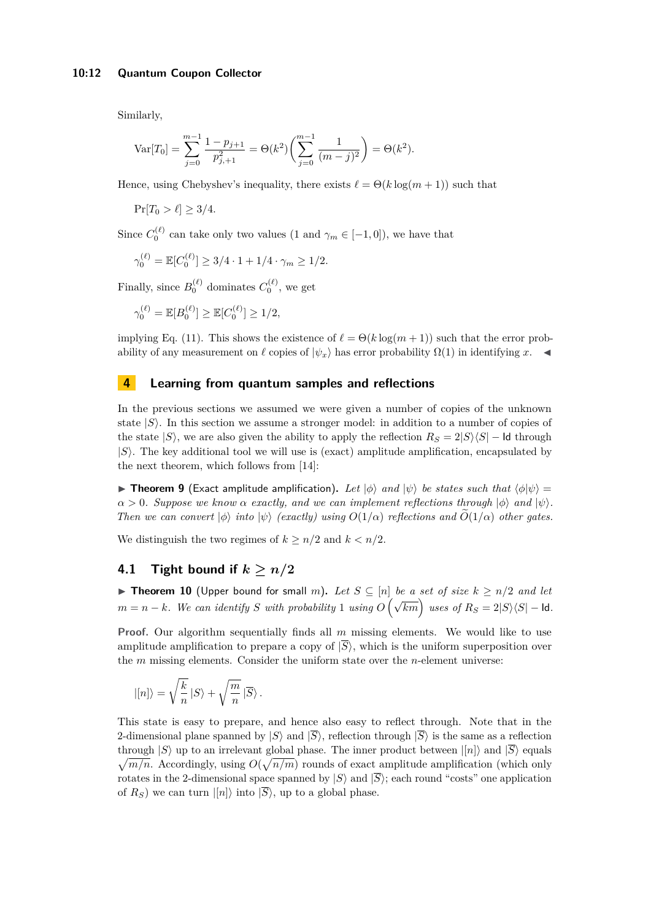Similarly,

$$
\text{Var}[T_0] = \sum_{j=0}^{m-1} \frac{1 - p_{j+1}}{p_{j+1}^2} = \Theta(k^2) \left( \sum_{j=0}^{m-1} \frac{1}{(m-j)^2} \right) = \Theta(k^2).
$$

Hence, using Chebyshev's inequality, there exists  $\ell = \Theta(k \log(m + 1))$  such that

$$
\Pr[T_0 > \ell] \ge 3/4.
$$

Since  $C_0^{(\ell)}$  can take only two values (1 and  $\gamma_m \in [-1, 0]$ ), we have that

$$
\gamma_0^{(\ell)} = \mathbb{E}[C_0^{(\ell)}] \ge 3/4 \cdot 1 + 1/4 \cdot \gamma_m \ge 1/2.
$$

Finally, since  $B_0^{(\ell)}$  dominates  $C_0^{(\ell)}$ , we get

$$
\gamma_0^{(\ell)} = \mathbb{E}[B_0^{(\ell)}] \ge \mathbb{E}[C_0^{(\ell)}] \ge 1/2,
$$

implying Eq. [\(11\)](#page-8-2). This shows the existence of  $\ell = \Theta(k \log(m + 1))$  such that the error probability of any measurement on  $\ell$  copies of  $|\psi_x\rangle$  has error probability  $\Omega(1)$  in identifying *x*.

# <span id="page-11-0"></span>**4 Learning from quantum samples and reflections**

In the previous sections we assumed we were given a number of copies of the unknown state  $|S\rangle$ . In this section we assume a stronger model: in addition to a number of copies of the state  $|S\rangle$ , we are also given the ability to apply the reflection  $R_S = 2|S\rangle\langle S|$  – Id through |*S*i. The key additional tool we will use is (exact) amplitude amplification, encapsulated by the next theorem, which follows from [\[14\]](#page-15-13):

**Findom 1** (Exact amplitude amplification). Let  $|\phi\rangle$  and  $|\psi\rangle$  be states such that  $\langle \phi | \psi \rangle$  =  $\alpha > 0$ *. Suppose we know*  $\alpha$  *exactly, and we can implement reflections through*  $|\phi\rangle$  *and*  $|\psi\rangle$ *. Then we can convert*  $|\phi\rangle$  *into*  $|\psi\rangle$  *(exactly) using*  $O(1/\alpha)$  *reflections and*  $O(1/\alpha)$  *other gates.* 

We distinguish the two regimes of  $k > n/2$  and  $k < n/2$ .

# **4.1 Tight bound if**  $k \geq n/2$

<span id="page-11-1"></span>▶ **Theorem 10** (Upper bound for small *m*). Let  $S \subseteq [n]$  be a set of size  $k \geq n/2$  and let *m* = *n* − *k.* We can identify *S* with probability 1 using  $O(\sqrt{km})$  uses of  $R_S = 2|S\rangle\langle S|$  − Id.

**Proof.** Our algorithm sequentially finds all m missing elements. We would like to use amplitude amplification to prepare a copy of  $|\overline{S}\rangle$ , which is the uniform superposition over the *m* missing elements. Consider the uniform state over the *n*-element universe:

$$
|[n]\rangle = \sqrt{\frac{k}{n}}\,|S\rangle + \sqrt{\frac{m}{n}}\,|\overline{S}\rangle\,.
$$

This state is easy to prepare, and hence also easy to reflect through. Note that in the 2-dimensional plane spanned by  $|S\rangle$  and  $|\overline{S}\rangle$ , reflection through  $|\overline{S}\rangle$  is the same as a reflection through  $|S\rangle$  up to an irrelevant global phase. The inner product between  $|[n]\rangle$  and  $|S\rangle$  equals  $\sqrt{m/n}$ . Accordingly, using  $O(\sqrt{n/m})$  rounds of exact amplitude amplification (which only rotates in the 2-dimensional space spanned by  $|S\rangle$  and  $|\overline{S}\rangle$ ; each round "costs" one application of  $R_S$ ) we can turn  $|[n]\rangle$  into  $|\overline{S}\rangle$ , up to a global phase.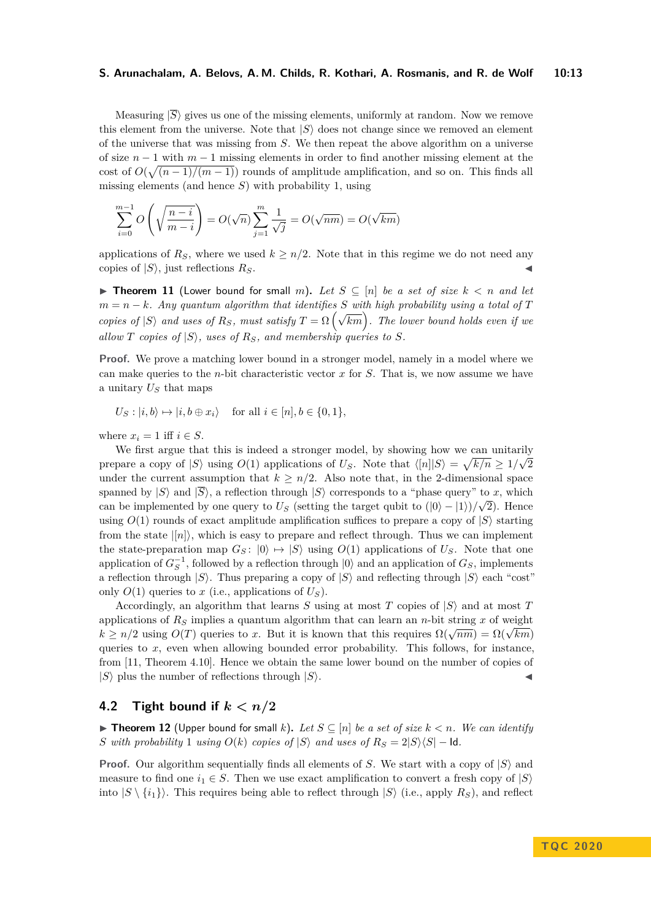Measuring  $|\overline{S}\rangle$  gives us one of the missing elements, uniformly at random. Now we remove this element from the universe. Note that  $|S\rangle$  does not change since we removed an element of the universe that was missing from *S*. We then repeat the above algorithm on a universe of size *n* − 1 with *m* − 1 missing elements in order to find another missing element at the cost of  $O(\sqrt{(n-1)/(m-1)})$  rounds of amplitude amplification, and so on. This finds all missing elements (and hence *S*) with probability 1, using

$$
\sum_{i=0}^{m-1} O\left(\sqrt{\frac{n-i}{m-i}}\right) = O(\sqrt{n}) \sum_{j=1}^{m} \frac{1}{\sqrt{j}} = O(\sqrt{nm}) = O(\sqrt{km})
$$

applications of  $R_S$ , where we used  $k \geq n/2$ . Note that in this regime we do not need any copies of  $|S\rangle$ , just reflections  $R_S$ .

<span id="page-12-0"></span>▶ **Theorem 11** (Lower bound for small *m*). Let  $S \subseteq [n]$  be a set of size  $k < n$  and let  $m = n - k$ *. Any quantum algorithm that identifies S with high probability using a total of T copies of*  $|S\rangle$  *and uses of*  $R_S$ *, must satisfy*  $T = \Omega\left(\sqrt{km}\right)$ *. The lower bound holds even if we* allow *T* copies of  $|S\rangle$ , uses of  $R_S$ , and membership queries to *S*.

**Proof.** We prove a matching lower bound in a stronger model, namely in a model where we can make queries to the *n*-bit characteristic vector *x* for *S*. That is, we now assume we have a unitary *U<sup>S</sup>* that maps

 $U_S : |i, b\rangle \mapsto |i, b \oplus x_i\rangle$  for all  $i \in [n], b \in \{0, 1\},$ 

where  $x_i = 1$  iff  $i \in S$ .

We first argue that this is indeed a stronger model, by showing how we can unitarily prepare a copy of  $|S\rangle$  using  $O(1)$  applications of  $U_S$ . Note that  $\langle [n]|S\rangle = \sqrt{k/n} \geq 1/\sqrt{2}$ under the current assumption that  $k \geq n/2$ . Also note that, in the 2-dimensional space spanned by  $|S\rangle$  and  $|\overline{S}\rangle$ , a reflection through  $|S\rangle$  corresponds to a "phase query" to *x*, which can be implemented by one query to  $U<sub>S</sub>$  (setting the target qubit to  $(|0\rangle - |1\rangle)/\sqrt{2}$ ). Hence using  $O(1)$  rounds of exact amplitude amplification suffices to prepare a copy of  $|S\rangle$  starting from the state  $\vert n \vert$ , which is easy to prepare and reflect through. Thus we can implement the state-preparation map  $G_S$ :  $|0\rangle \mapsto |S\rangle$  using  $O(1)$  applications of  $U_S$ . Note that one application of  $G_S^{-1}$ , followed by a reflection through  $|0\rangle$  and an application of  $G_S$ , implements a reflection through  $|S\rangle$ . Thus preparing a copy of  $|S\rangle$  and reflecting through  $|S\rangle$  each "cost" only  $O(1)$  queries to *x* (i.e., applications of  $U<sub>S</sub>$ ).

Accordingly, an algorithm that learns *S* using at most *T* copies of  $|S\rangle$  and at most *T* applications of  $R<sub>S</sub>$  implies a quantum algorithm that can learn an *n*-bit string *x* of weight applications of  $R_s$  implies a quantum algorithm that can learn an *n*-bit string *x* of weight  $k \ge n/2$  using  $O(T)$  queries to *x*. But it is known that this requires  $\Omega(\sqrt{nm}) = \Omega(\sqrt{km})$ queries to *x*, even when allowing bounded error probability. This follows, for instance, from [\[11,](#page-15-14) Theorem 4.10]. Hence we obtain the same lower bound on the number of copies of  $|S\rangle$  plus the number of reflections through  $|S\rangle$ .

#### **4.2** Tight bound if  $k < n/2$

<span id="page-12-1"></span>▶ **Theorem 12** (Upper bound for small *k*). Let  $S ⊆ [n]$  be a set of size  $k < n$ . We can identify *S with probability* 1 *using*  $O(k)$  *copies of*  $|S\rangle$  *and uses of*  $R_S = 2|S\rangle\langle S|$  – **ld**.

**Proof.** Our algorithm sequentially finds all elements of *S*. We start with a copy of  $|S\rangle$  and measure to find one  $i_1 \in S$ . Then we use exact amplification to convert a fresh copy of  $|S\rangle$ into  $|S \setminus \{i_1\}\rangle$ . This requires being able to reflect through  $|S \rangle$  (i.e., apply  $R_S$ ), and reflect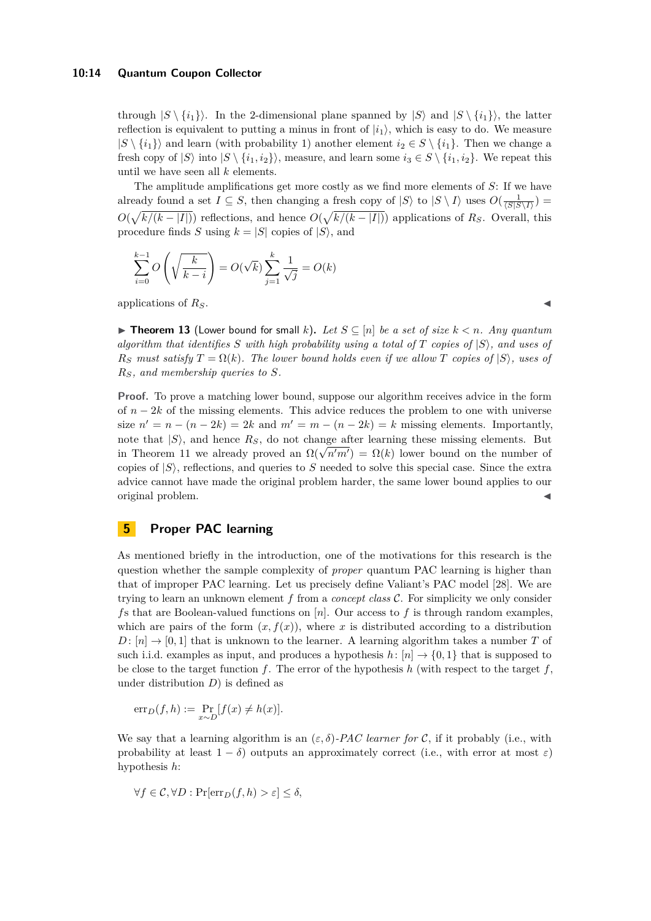#### **10:14 Quantum Coupon Collector**

through  $|S \setminus \{i_1\}\rangle$ . In the 2-dimensional plane spanned by  $|S \setminus \{i_1\}\rangle$ , the latter reflection is equivalent to putting a minus in front of  $|i_1\rangle$ , which is easy to do. We measure  $|S \setminus \{i_1\}\rangle$  and learn (with probability 1) another element  $i_2 \in S \setminus \{i_1\}$ . Then we change a fresh copy of  $|S\rangle$  into  $|S \setminus \{i_1, i_2\}\rangle$ , measure, and learn some  $i_3 \in S \setminus \{i_1, i_2\}$ . We repeat this until we have seen all *k* elements.

The amplitude amplifications get more costly as we find more elements of *S*: If we have already found a set  $I \subseteq S$ , then changing a fresh copy of  $|S\rangle$  to  $|S \setminus I\rangle$  uses  $O(\frac{1}{\langle S|S \setminus I\rangle})$  $O(\sqrt{k/(k-|I|)})$  reflections, and hence  $O(\sqrt{k/(k-|I|)})$  applications of *R<sub>S</sub>*. Overall, this procedure finds *S* using  $k = |S|$  copies of  $|S\rangle$ , and

$$
\sum_{i=0}^{k-1} O\left(\sqrt{\frac{k}{k-i}}\right) = O(\sqrt{k}) \sum_{j=1}^{k} \frac{1}{\sqrt{j}} = O(k)
$$

applications of  $R_S$ .

<span id="page-13-1"></span>▶ **Theorem 13** (Lower bound for small *k*). Let  $S \subseteq [n]$  be a set of size  $k < n$ . Any quantum *algorithm that identifies S with high probability using a total of T copies of* |*S*i*, and uses of*  $R<sub>S</sub>$  *must satisfy*  $T = \Omega(k)$ *. The lower bound holds even if we allow T copies of*  $|S\rangle$ *, uses of RS, and membership queries to S.*

**Proof.** To prove a matching lower bound, suppose our algorithm receives advice in the form of *n* − 2*k* of the missing elements. This advice reduces the problem to one with universe size  $n' = n - (n - 2k) = 2k$  and  $m' = m - (n - 2k) = k$  missing elements. Importantly, note that  $|S\rangle$ , and hence  $R_S$ , do not change after learning these missing elements. But in Theorem [11](#page-12-0) we already proved an  $\Omega(\sqrt{n'm'}) = \Omega(k)$  lower bound on the number of copies of  $|S\rangle$ , reflections, and queries to *S* needed to solve this special case. Since the extra advice cannot have made the original problem harder, the same lower bound applies to our original problem. J

# <span id="page-13-0"></span>**5 Proper PAC learning**

As mentioned briefly in the introduction, one of the motivations for this research is the question whether the sample complexity of *proper* quantum PAC learning is higher than that of improper PAC learning. Let us precisely define Valiant's PAC model [\[28\]](#page-16-8). We are trying to learn an unknown element *f* from a *concept class* C. For simplicity we only consider *f*s that are Boolean-valued functions on [*n*]. Our access to *f* is through random examples, which are pairs of the form  $(x, f(x))$ , where *x* is distributed according to a distribution  $D: [n] \rightarrow [0, 1]$  that is unknown to the learner. A learning algorithm takes a number *T* of such i.i.d. examples as input, and produces a hypothesis  $h: [n] \rightarrow \{0, 1\}$  that is supposed to be close to the target function *f*. The error of the hypothesis *h* (with respect to the target *f*, under distribution *D*) is defined as

$$
\mathrm{err}_D(f, h) := \Pr_{x \sim D} [f(x) \neq h(x)].
$$

We say that a learning algorithm is an  $(\varepsilon, \delta)$ -PAC learner for C, if it probably (i.e., with probability at least  $1 - \delta$ ) outputs an approximately correct (i.e., with error at most  $\varepsilon$ ) hypothesis *h*:

$$
\forall f \in \mathcal{C}, \forall D : \Pr[\text{err}_D(f, h) > \varepsilon] \le \delta,
$$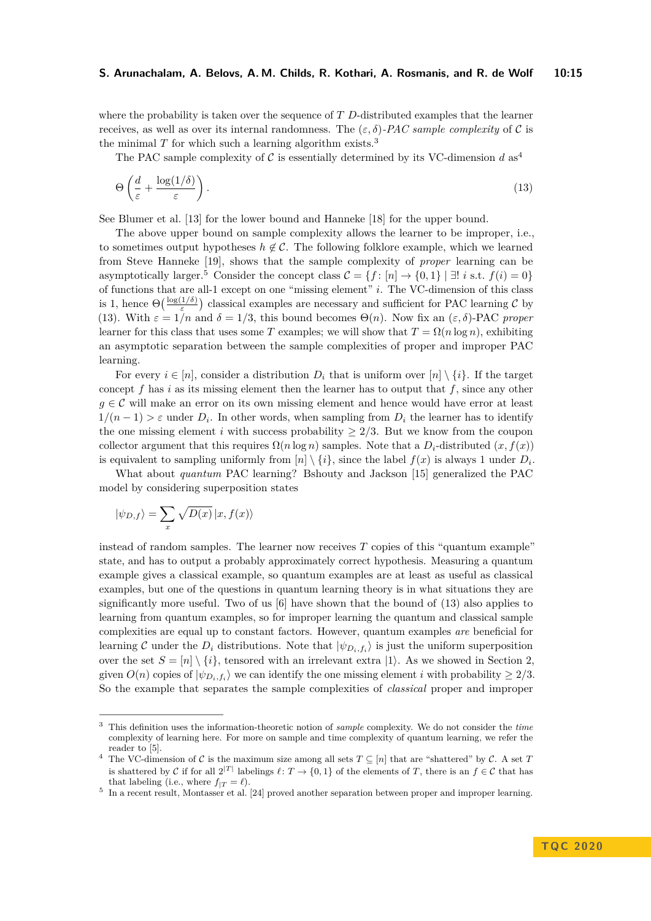where the probability is taken over the sequence of *T D*-distributed examples that the learner receives, as well as over its internal randomness. The (*ε, δ*)*-PAC sample complexity* of C is the minimal  $T$  for which such a learning algorithm exists.<sup>[3](#page-14-0)</sup>

<span id="page-14-3"></span>The PAC sample complexity of C is essentially determined by its VC-dimension  $d$  as<sup>[4](#page-14-1)</sup>

$$
\Theta\left(\frac{d}{\varepsilon} + \frac{\log(1/\delta)}{\varepsilon}\right). \tag{13}
$$

See Blumer et al. [\[13\]](#page-15-15) for the lower bound and Hanneke [\[18\]](#page-15-16) for the upper bound.

The above upper bound on sample complexity allows the learner to be improper, i.e., to sometimes output hypotheses  $h \notin \mathcal{C}$ . The following folklore example, which we learned from Steve Hanneke [\[19\]](#page-15-17), shows that the sample complexity of *proper* learning can be asymptotically larger.<sup>[5](#page-14-2)</sup> Consider the concept class  $C = \{f : [n] \to \{0, 1\} \mid \exists! \ i \text{ s.t. } f(i) = 0\}$ of functions that are all-1 except on one "missing element" *i*. The VC-dimension of this class is 1, hence  $\Theta\left(\frac{\log(1/\delta)}{\varepsilon}\right)$  classical examples are necessary and sufficient for PAC learning  $\mathcal C$  by [\(13\)](#page-14-3). With  $\varepsilon = 1/n$  and  $\delta = 1/3$ , this bound becomes  $\Theta(n)$ . Now fix an  $(\varepsilon, \delta)$ -PAC *proper* learner for this class that uses some *T* examples; we will show that  $T = \Omega(n \log n)$ , exhibiting an asymptotic separation between the sample complexities of proper and improper PAC learning.

For every  $i \in [n]$ , consider a distribution  $D_i$  that is uniform over  $[n] \setminus \{i\}$ . If the target concept *f* has *i* as its missing element then the learner has to output that *f*, since any other  $g \in \mathcal{C}$  will make an error on its own missing element and hence would have error at least  $1/(n-1) > \varepsilon$  under  $D_i$ . In other words, when sampling from  $D_i$  the learner has to identify the one missing element *i* with success probability  $\geq 2/3$ . But we know from the coupon collector argument that this requires  $\Omega(n \log n)$  samples. Note that a  $D_i$ -distributed  $(x, f(x))$ is equivalent to sampling uniformly from  $[n] \setminus \{i\}$ , since the label  $f(x)$  is always 1 under  $D_i$ .

What about *quantum* PAC learning? Bshouty and Jackson [\[15\]](#page-15-0) generalized the PAC model by considering superposition states

$$
|\psi_{D,f}\rangle=\sum_x\sqrt{D(x)}\,|x,f(x)\rangle
$$

instead of random samples. The learner now receives *T* copies of this "quantum example" state, and has to output a probably approximately correct hypothesis. Measuring a quantum example gives a classical example, so quantum examples are at least as useful as classical examples, but one of the questions in quantum learning theory is in what situations they are significantly more useful. Two of us  $[6]$  have shown that the bound of  $(13)$  also applies to learning from quantum examples, so for improper learning the quantum and classical sample complexities are equal up to constant factors. However, quantum examples *are* beneficial for learning C under the  $D_i$  distributions. Note that  $|\psi_{D_i,f_i}\rangle$  is just the uniform superposition over the set  $S = [n] \setminus \{i\}$ , tensored with an irrelevant extra  $|1\rangle$ . As we showed in Section [2,](#page-3-0) given  $O(n)$  copies of  $|\psi_{D_i,f_i}\rangle$  we can identify the one missing element *i* with probability  $\geq 2/3$ . So the example that separates the sample complexities of *classical* proper and improper

<span id="page-14-0"></span><sup>3</sup> This definition uses the information-theoretic notion of *sample* complexity. We do not consider the *time* complexity of learning here. For more on sample and time complexity of quantum learning, we refer the reader to [\[5\]](#page-15-18).

<span id="page-14-1"></span><sup>&</sup>lt;sup>4</sup> The VC-dimension of  $\mathcal C$  is the maximum size among all sets  $T \subseteq [n]$  that are "shattered" by  $\mathcal C$ . A set  $T$ is shattered by C if for all  $2^{|T|}$  labelings  $\ell \colon T \to \{0,1\}$  of the elements of T, there is an  $f \in \mathcal{C}$  that has that labeling (i.e., where  $f_{|T} = \ell$ ).

<span id="page-14-2"></span><sup>&</sup>lt;sup>5</sup> In a recent result, Montasser et al. [\[24\]](#page-16-9) proved another separation between proper and improper learning.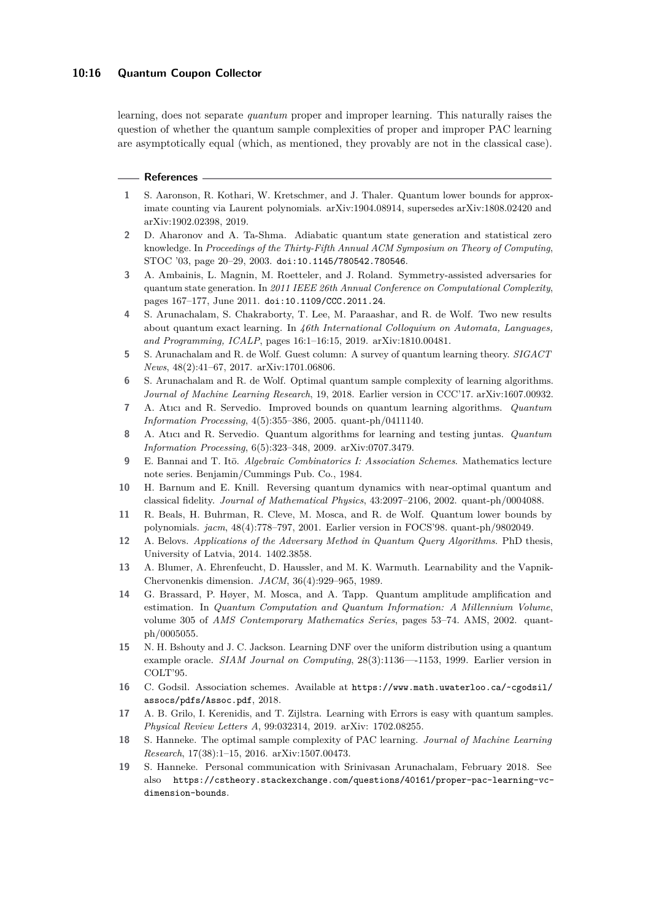#### **10:16 Quantum Coupon Collector**

learning, does not separate *quantum* proper and improper learning. This naturally raises the question of whether the quantum sample complexities of proper and improper PAC learning are asymptotically equal (which, as mentioned, they provably are not in the classical case).

#### **References**

- <span id="page-15-9"></span>**1** S. Aaronson, R. Kothari, W. Kretschmer, and J. Thaler. Quantum lower bounds for approximate counting via Laurent polynomials. arXiv:1904.08914, supersedes arXiv:1808.02420 and arXiv:1902.02398, 2019.
- <span id="page-15-6"></span>**2** D. Aharonov and A. Ta-Shma. Adiabatic quantum state generation and statistical zero knowledge. In *Proceedings of the Thirty-Fifth Annual ACM Symposium on Theory of Computing*, STOC '03, page 20–29, 2003. [doi:10.1145/780542.780546](https://doi.org/10.1145/780542.780546).
- <span id="page-15-7"></span>**3** A. Ambainis, L. Magnin, M. Roetteler, and J. Roland. Symmetry-assisted adversaries for quantum state generation. In *2011 IEEE 26th Annual Conference on Computational Complexity*, pages 167–177, June 2011. [doi:10.1109/CCC.2011.24](https://doi.org/10.1109/CCC.2011.24).
- <span id="page-15-5"></span>**4** S. Arunachalam, S. Chakraborty, T. Lee, M. Paraashar, and R. de Wolf. Two new results about quantum exact learning. In *46th International Colloquium on Automata, Languages, and Programming, ICALP*, pages 16:1–16:15, 2019. arXiv:1810.00481.
- <span id="page-15-18"></span>**5** S. Arunachalam and R. de Wolf. Guest column: A survey of quantum learning theory. *SIGACT News*, 48(2):41–67, 2017. arXiv:1701.06806.
- <span id="page-15-3"></span>**6** S. Arunachalam and R. de Wolf. Optimal quantum sample complexity of learning algorithms. *Journal of Machine Learning Research*, 19, 2018. Earlier version in CCC'17. arXiv:1607.00932.
- <span id="page-15-1"></span>**7** A. Atıcı and R. Servedio. Improved bounds on quantum learning algorithms. *Quantum Information Processing*, 4(5):355–386, 2005. quant-ph/0411140.
- <span id="page-15-2"></span>**8** A. Atıcı and R. Servedio. Quantum algorithms for learning and testing juntas. *Quantum Information Processing*, 6(5):323–348, 2009. arXiv:0707.3479.
- <span id="page-15-12"></span>**9** E. Bannai and T. It¯o. *Algebraic Combinatorics I: Association Schemes*. Mathematics lecture note series. Benjamin/Cummings Pub. Co., 1984.
- <span id="page-15-8"></span>**10** H. Barnum and E. Knill. Reversing quantum dynamics with near-optimal quantum and classical fidelity. *Journal of Mathematical Physics*, 43:2097–2106, 2002. quant-ph/0004088.
- <span id="page-15-14"></span>**11** R. Beals, H. Buhrman, R. Cleve, M. Mosca, and R. de Wolf. Quantum lower bounds by polynomials. *jacm*, 48(4):778–797, 2001. Earlier version in FOCS'98. quant-ph/9802049.
- <span id="page-15-10"></span>**12** A. Belovs. *Applications of the Adversary Method in Quantum Query Algorithms*. PhD thesis, University of Latvia, 2014. 1402.3858.
- <span id="page-15-15"></span>**13** A. Blumer, A. Ehrenfeucht, D. Haussler, and M. K. Warmuth. Learnability and the Vapnik-Chervonenkis dimension. *JACM*, 36(4):929–965, 1989.
- <span id="page-15-13"></span>**14** G. Brassard, P. Høyer, M. Mosca, and A. Tapp. Quantum amplitude amplification and estimation. In *Quantum Computation and Quantum Information: A Millennium Volume*, volume 305 of *AMS Contemporary Mathematics Series*, pages 53–74. AMS, 2002. quantph/0005055.
- <span id="page-15-0"></span>**15** N. H. Bshouty and J. C. Jackson. Learning DNF over the uniform distribution using a quantum example oracle. *SIAM Journal on Computing*, 28(3):1136—-1153, 1999. Earlier version in COLT'95.
- <span id="page-15-11"></span>**16** C. Godsil. Association schemes. Available at [https://www.math.uwaterloo.ca/~cgodsil/](https://www.math.uwaterloo.ca/~cgodsil/assocs/pdfs/Assoc.pdf) [assocs/pdfs/Assoc.pdf](https://www.math.uwaterloo.ca/~cgodsil/assocs/pdfs/Assoc.pdf), 2018.
- <span id="page-15-4"></span>**17** A. B. Grilo, I. Kerenidis, and T. Zijlstra. Learning with Errors is easy with quantum samples. *Physical Review Letters A*, 99:032314, 2019. arXiv: 1702.08255.
- <span id="page-15-16"></span>**18** S. Hanneke. The optimal sample complexity of PAC learning. *Journal of Machine Learning Research*, 17(38):1–15, 2016. arXiv:1507.00473.
- <span id="page-15-17"></span>**19** S. Hanneke. Personal communication with Srinivasan Arunachalam, February 2018. See also [https://cstheory.stackexchange.com/questions/40161/proper-pac-learning-vc](https://cstheory.stackexchange.com/questions/40161/proper-pac-learning-vc-dimension-bounds)[dimension-bounds](https://cstheory.stackexchange.com/questions/40161/proper-pac-learning-vc-dimension-bounds).